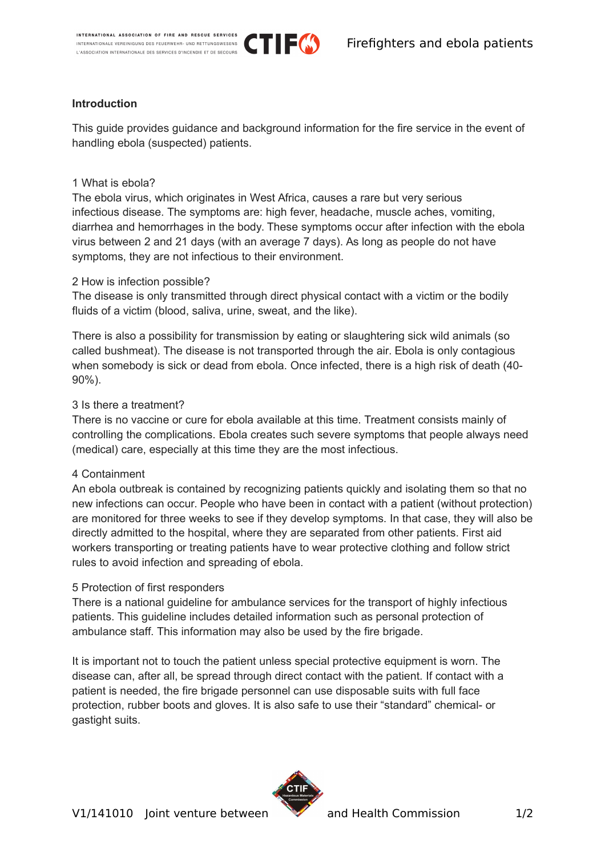

## **Introduction**

This guide provides guidance and background information for the fire service in the event of handling ebola (suspected) patients.

TIE(\$)

## 1 What is ebola?

The ebola virus, which originates in West Africa, causes a rare but very serious infectious disease. The symptoms are: high fever, headache, muscle aches, vomiting, diarrhea and hemorrhages in the body. These symptoms occur after infection with the ebola virus between 2 and 21 days (with an average 7 days). As long as people do not have symptoms, they are not infectious to their environment.

### 2 How is infection possible?

The disease is only transmitted through direct physical contact with a victim or the bodily fluids of a victim (blood, saliva, urine, sweat, and the like).

There is also a possibility for transmission by eating or slaughtering sick wild animals (so called bushmeat). The disease is not transported through the air. Ebola is only contagious when somebody is sick or dead from ebola. Once infected, there is a high risk of death (40- 90%).

## 3 Is there a treatment?

There is no vaccine or cure for ebola available at this time. Treatment consists mainly of controlling the complications. Ebola creates such severe symptoms that people always need (medical) care, especially at this time they are the most infectious.

## 4 Containment

An ebola outbreak is contained by recognizing patients quickly and isolating them so that no new infections can occur. People who have been in contact with a patient (without protection) are monitored for three weeks to see if they develop symptoms. In that case, they will also be directly admitted to the hospital, where they are separated from other patients. First aid workers transporting or treating patients have to wear protective clothing and follow strict rules to avoid infection and spreading of ebola.

## 5 Protection of first responders

There is a national guideline for ambulance services for the transport of highly infectious patients. This guideline includes detailed information such as personal protection of ambulance staff. This information may also be used by the fire brigade.

It is important not to touch the patient unless special protective equipment is worn. The disease can, after all, be spread through direct contact with the patient. If contact with a patient is needed, the fire brigade personnel can use disposable suits with full face protection, rubber boots and gloves. It is also safe to use their "standard" chemical- or gastight suits.